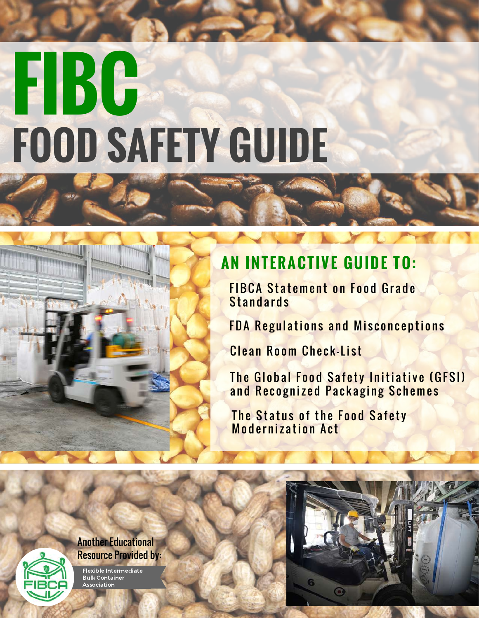# **FIBC FOOD SAFETY GUIDE**

#### **AN INT ERACT IVE GUIDE TO:**

**FIBCA Statement on Food Grade Standards** 

FDA Regulations and Misconceptions

Clean Room Check-List

The Global Food Safety Initiative (GFSI) and Recognized Packaging Schemes

The Status of the Food Safety Modernization Act



Flexible Intermediate Bulk Container **Association** 

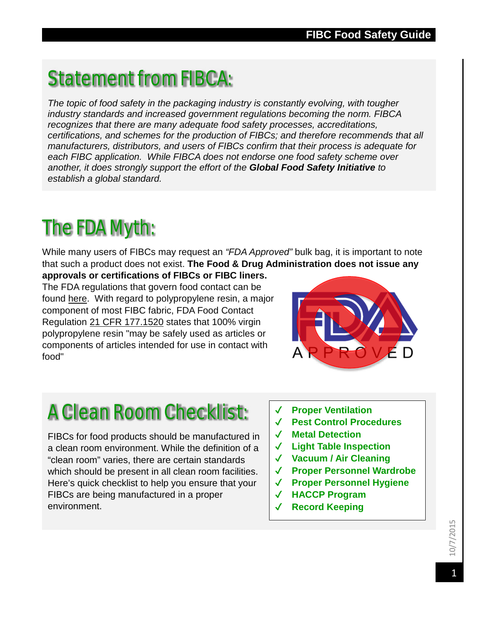## Statement from FIBCA:

*The topic of food safety in the packaging industry is constantly evolving, with tougher industry standards and increased government regulations becoming the norm. FIBCA recognizes that there are many adequate food safety processes, accreditations, certifications, and schemes for the production of FIBCs; and therefore recommends that all manufacturers, distributors, and users of FIBCs confirm that their process is adequate for each FIBC application. While FIBCA does not endorse one food safety scheme over another, it does strongly support the effort of the Global Food Safety Initiative to establish a global standard.* 

## The FDA Myth:

While many users of FIBCs may request an *"FDA Approved"* bulk bag, it is important to note that such a product does not exist. **The Food & Drug Administration does not issue any** 

**approvals or certifications of FIBCs or FIBC liners.**  The FDA regulations that govern food contact can be found [here.](http://www.fda.gov/Food/IngredientsPackagingLabeling/PackagingFCS/RegulatoryStatusFoodContactMaterial/default.htm) With regard to polypropylene resin, a major component of most FIBC fabric, FDA Food Contact Regulation [21 CFR 177.1520](http://www.gpo.gov/fdsys/pkg/CFR-2011-title21-vol3/pdf/CFR-2011-title21-vol3-sec177-1520.pdf) states that 100% virgin polypropylene resin "may be safely used as articles or components of articles intended for use in contact with food"



# A Clean Room Checklist:

FIBCs for food products should be manufactured in a clean room environment. While the definition of a "clean room" varies, there are certain standards which should be present in all clean room facilities. Here's quick checklist to help you ensure that your FIBCs are being manufactured in a proper environment.

- ✔ **Proper Ventilation**
- ✔ **Pest Control Procedures**
- ✔ **Metal Detection**
- ✔ **Light Table Inspection**
- ✔ **Vacuum / Air Cleaning**
- ✔ **Proper Personnel Wardrobe**
- ✔ **Proper Personnel Hygiene**
- ✔ **HACCP Program**
- ✔ **Record Keeping**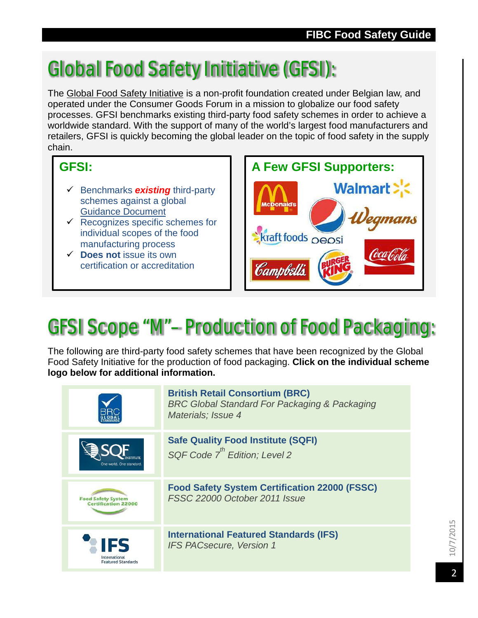# Global Food Safety Initiative (GFSI):

The [Global Food Safety Initiative](http://www.mygfsi.com/) is a non-profit foundation created under Belgian law, and operated under the Consumer Goods Forum in a mission to globalize our food safety processes. GFSI benchmarks existing third-party food safety schemes in order to achieve a worldwide standard. With the support of many of the world's largest food manufacturers and retailers, GFSI is quickly becoming the global leader on the topic of food safety in the supply chain.

#### **GFSI:**

- Benchmarks *existing* third-party schemes against a global [Guidance Document](http://www.mygfsi.com/schemes-certification/benchmarking/benchmarking-overview.html)
- $\checkmark$  Recognizes specific schemes for individual scopes of the food manufacturing process
- **Does not** issue its own certification or accreditation



# GFSI Scope "M"– Production of Food Packaging:

The following are third-party food safety schemes that have been recognized by the Global Food Safety Initiative for the production of food packaging. **Click on the individual scheme logo below for additional information.**

|                            | <b>British Retail Consortium (BRC)</b><br><b>BRC Global Standard For Packaging &amp; Packaging</b><br>Materials; Issue 4 |
|----------------------------|--------------------------------------------------------------------------------------------------------------------------|
| One world. One standard.   | <b>Safe Quality Food Institute (SQFI)</b><br>SQF Code 7 <sup>th</sup> Edition; Level 2                                   |
| <b>Food Safety System</b>  | <b>Food Safety System Certification 22000 (FSSC)</b>                                                                     |
| <b>Certification 22000</b> | FSSC 22000 October 2011 Issue                                                                                            |
| International              | <b>International Featured Standards (IFS)</b>                                                                            |
| <b>Featured Standards</b>  | <b>IFS PACsecure, Version 1</b>                                                                                          |